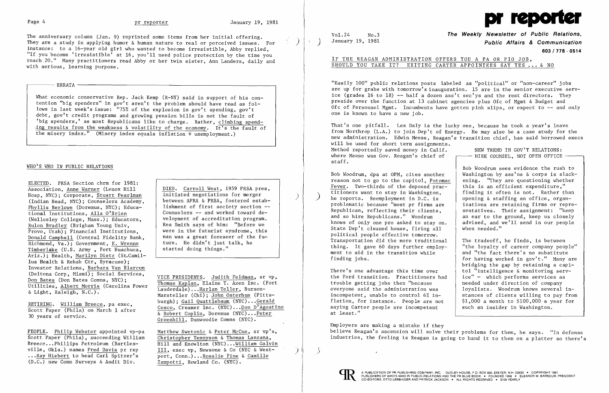

The anniversary column (Jan. 9) reprinted some items from her initial offering. They are a study in applying humor & human nature to real or perceived issues. For instance: to a l6-year old girl who wanted to become irresistible, Abby replied, "If you become 'irresistible' at 16, you'll need police protection by the time you reach 20." Many practitioners read Abby or her twin sister, Ann Landers, daily and with serious, learning purpose.

)

ERRATA ---------------------------------,

What economic conservative Rep. Jack Kemp  $(R-NY)$  said in support of his contention "big spenders" in gov't aren't the problem should have read as follows in last week's issue: "75% of the explosion in gov't spending, gov't debt, gov't credit programs and growing pension bills is not the fault of 'big spenders,' as most Republicans like to charge. Rather, climbing spend-.ing results from the weakness & volatility of the economy. It's the fault of the misery index." (Misery index equals inflation + unemployment.)

## WHO'S WHO IN PUBLIC RELATIONS

RETIRING. William Breece, pa exec, Scott Paper (Phila) on March 1 after 30 years of service.

VICE PRESIDENTS. Judith Feldman, sr vp, Thomas Kaplan, Elaine T. Azen Inc. (Fort Lauderdale) ...Harlan Teller, Burson-Marsteller (Chi); John Osterhus (Pittsburgh): Gail Quattlebaum (NYC)...Gerald Cosco, Creamer Inc. (NYC) ...Don D'Agostino & Robert Coplin, Doremus (NYC) •.. Peter  $Greenhill$ , Dunwoodie Comns  $(NYC)$ .

ELECTED. PRSA Section chrm for 1981: Association, Anne Warner (Lenox Hill Hosp, NYC); Corporate, Stuart Pearlman (Indian Head, NYC); Counselors Academy, Phyllis Berlowe (Doremus, NYC); Educational Institutions, AlIa O'Brien (Wellesley College, Mass.); Educators, Rulon Bradley (Brigham Young Univ, Provo, Utah); Financial Institutions, Donald Campbell (Central Fidelity Bank, Richmond, Va.); Government, E. Wrenne Timberlake (U.S. Army, Fort Huachuca, Ariz.); Health, Marilyn Dietz (St.Camil-Ius Health & Rehab Ctr, Syracuse); Investor Relations, Barbara Van Blarcum (Deltona Corp, Miami); Social Services, Don Bates (Don Bates Comns, NYC); Utilities, Albert Morris (Carolina Power & Light, Raleigh, *N.C.).* 

> Matthew Swetonic & Peter McCue, sr vp's, Christopher Tennyson & Thomas Lanzana, Hill and Knowlton (NYC) ...William Galvin III, exec vp, Newsome & Co (NYC & Westport, Conn.) ...Rosalie Fine & Camille Zampetti, Rowland Co. (NYC).

## IF THE REAGAN ADMINISTRATION OFFERS YOU A PA OR PIO JOB. SHOULD YOU TAKE IT? EXITING CARTER APPOINTEES SAY YES ... & NO

DIED. Carroll West, 1959 PRSA pres, initiated negotiations for merger between APRA & PRSA, fostered establishment of first society section - Counselors  $--$  and worked toward development of accreditation program. Rea Smith says of him: "Before we were in the futurist syndrome, this man was a great foreseer of the future. He didn't just talk, he started doing things."

Bob Woodrum sees evidence the rush to advised, and we'll send in our people when needed."

The tradeoff, he finds, is between<br>"the lovalty of career company people" for having worked in gov't." Many are bridging the gap by retaining a capi-<br>tol "intelligence & monitoring serv- $$1,000$  a month to  $$100,000$  a year for such an insider in Washington.

)

PEOPLE. Philip Webster appointed vp-pa Scott Paper (Phila), succeeding William Breece...Phillips Petroleum (Bartlesville, Okla.) names Fred Davis pr rep ..•Ray Hiebert to head Carl Spitzer's (D.C.) new Comn Surveys & Audit Div.

There's one advantage this time over  $\begin{array}{|l|l|} \hline \end{array}$  tol "intelligence & monitoring serv-<br>the Ford transition. Practitioners had ice" - which performs services as the Ford transition. Practitioners had  $\begin{vmatrix} ice'' - v \end{vmatrix}$  which performs services as trouble getting jobs then "because and a needed under direction of company trouble getting jobs then "because<br>everyone said the administration was everyone said the administration was  $\begin{array}{|l|l|}\n\hline\n\text{incomplete} & \text{in}-\n\end{array}$  incompetent, unable to control 6% in-<br>stances of clients willing to pay from incompetent, unable to control  $6\%$  in-<br>flation, for instance. People are not  $\begin{array}{c|c} \n\end{array}$  \$1,000 a month to \$100,000 a year for saying Carter people are incompetent at least."

)

 $\mathcal{S}_{\mathcal{S}}$ 

Vol. 24 No.3 **The Weekly Newsletter of Public Relations, Public Affairs & Communication 603/778 - 0514** 

"Easily 100" public relations posts labeled as "political" or "non-career" jobs are up for grabs with tomorrow's inauguration. 15 are in the senior executive service (grades 16 to 18)  $-$ - half a dozen ass't sec'ys and the rest directors. They preside over the function at 13 cabinet agencies plus Ofc of Mgmt & Budget and Ofc of Personnel Mgmt. Incumbents have gotten pink slips, or expect to  $-$ - and only one is known to have a new job.

That's one pitfall. Les Daly is the lucky one, because he took a year's leave from Northrop (L.A.) to join Dep't of Energy. He may also be a case study for the new administration. Edwin Meese, Reagan's transition chief, has said borrowed execs will be used for short term assignments. Method reportedly saved money in Calif. NEW TREND IN GOV'T RELATIONS:<br>where Meese was Gov. Reagan's chief of  $\longleftarrow$  HIRE COUNSEL. NOT OPEN OFFICE where Meese was Gov. Reagan's chief of staff.

Bob Woodrum, dpa at OPM, cites another  $\begin{array}{|l|l|} \hline \text{R}}\end{array}$  Washington by ass'ns & corps is slack-<br>reason not to go to the capitol. Potomac ening. "They are questioning whether reason not to go to the capitol,  $\frac{Potomac}{Petomac}$  ening. "They are questioning wheth<br>Fever. Two-thirds of the deposed prac-<br> $\frac{Petomac}{Pet}$  this is an efficient expenditure." Fever. Two-thirds of the deposed  $\overline{prac}$  this is an efficient expenditure,"<br>titioners want to stay in Washington. | finding it often is not. Rather than he reports. Reemployment in D.C. is  $\vert$  opening & staffing an office, organ-<br>problematic because "most pr firms are stations are retaining firms or repreproblematic because "most pr firms are Republican, reflecting their clients. Republican, reflecting their clients,  $\begin{array}{|l|l|} \hline \text{Republicans, "Woodrum} & \text{an ear to the ground, keep us closely} \hline \end{array}$ and so hire Republicans." Woodrum  $\begin{array}{|l|l|} \hline \text{and so hire Republicans."} \hline \text{Noodrum} & \text{an ear to the ground, keep us closely knows of only one pro asked to stay on.} \hline \end{array}$ State Dep't cleaned house, firing all political people effective tomorrow. Transportation did the more traditional thing. It gave 60 days further employ-<br>ment to aid in the transition while  $\begin{array}{|l|} \hline \end{array}$  and "the fact there's no substitute ment to aid in the transition while<br>finding jobs.

Employers are making a mistake if they believe Reagan's ascension will solve their problems for them, he says. "In defense industries, the feeling is Reagan is going to hand it to them on a platter so there's